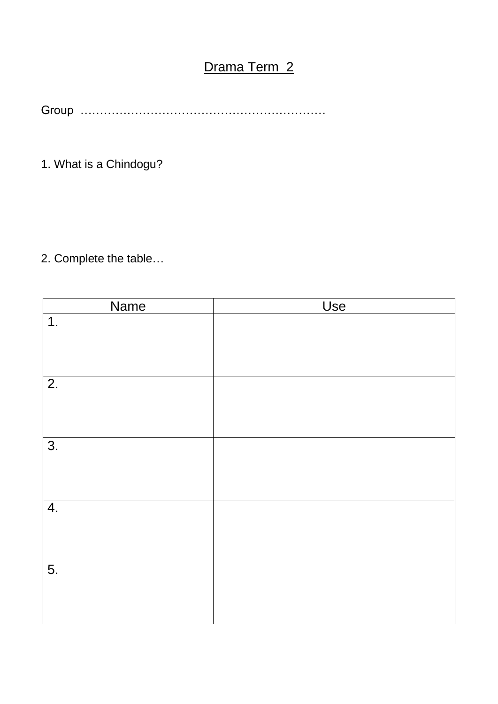# Drama Term 2

Group ………………………………………………………

1. What is a Chindogu?

2. Complete the table…

| Name             | Use |
|------------------|-----|
| 1.               |     |
| $\overline{2}$ . |     |
| $\overline{3}$ . |     |
| 4.               |     |
| 5.               |     |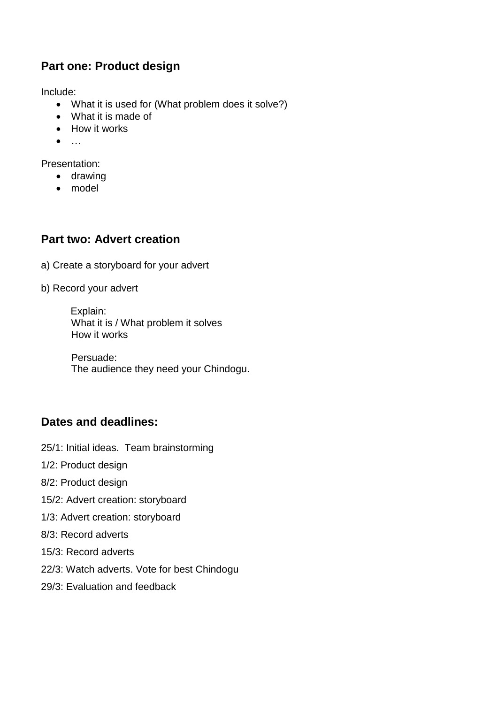#### **Part one: Product design**

Include:

- What it is used for (What problem does it solve?)
- What it is made of
- How it works
- $\bullet$

Presentation:

- drawing
- model

#### **Part two: Advert creation**

a) Create a storyboard for your advert

b) Record your advert

Explain: What it is / What problem it solves How it works

Persuade: The audience they need your Chindogu.

### **Dates and deadlines:**

- 25/1: Initial ideas. Team brainstorming
- 1/2: Product design
- 8/2: Product design
- 15/2: Advert creation: storyboard
- 1/3: Advert creation: storyboard
- 8/3: Record adverts
- 15/3: Record adverts
- 22/3: Watch adverts. Vote for best Chindogu
- 29/3: Evaluation and feedback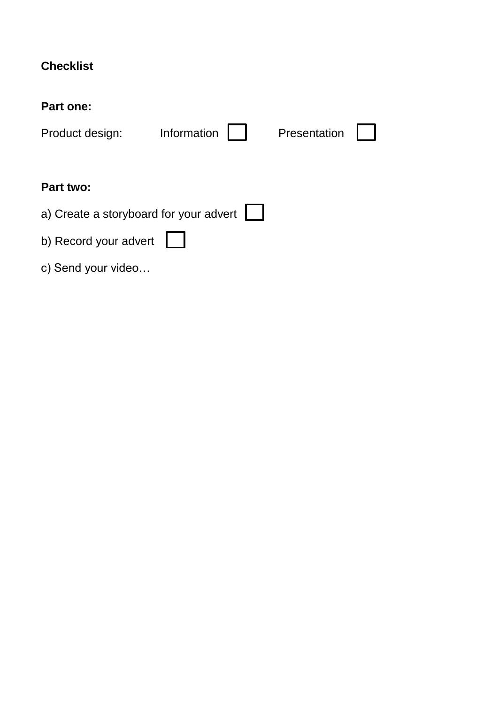## **Checklist**

#### **Part one:**

| Product design:                        | Information | Presentation |  |  |  |  |  |  |
|----------------------------------------|-------------|--------------|--|--|--|--|--|--|
|                                        |             |              |  |  |  |  |  |  |
| Part two:                              |             |              |  |  |  |  |  |  |
| a) Create a storyboard for your advert |             |              |  |  |  |  |  |  |
| b) Record your advert                  |             |              |  |  |  |  |  |  |
| c) Send your video                     |             |              |  |  |  |  |  |  |
|                                        |             |              |  |  |  |  |  |  |